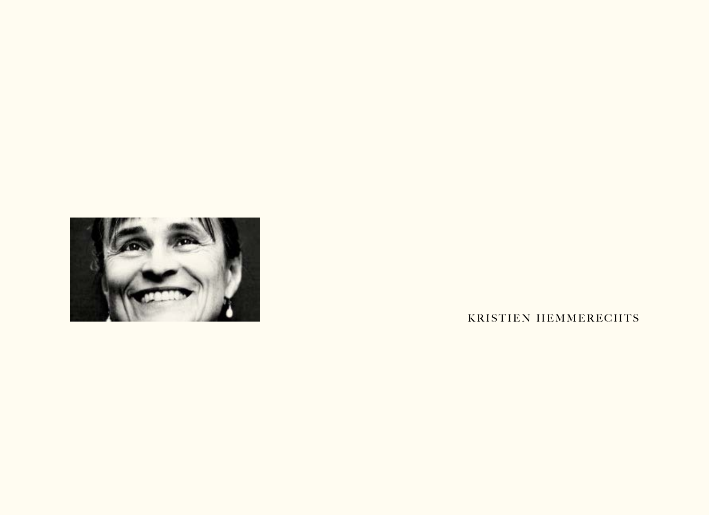

KRISTIEN HEMMERECHTS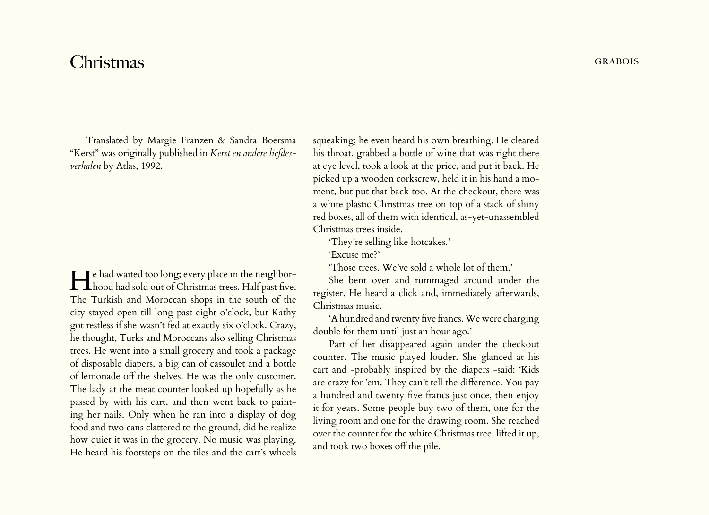## Christmas GRABOIS

Translated by Margie Franzen & Sandra Boersma "Kerst" was originally published in *Kerst en andere liefdesverhalen* by Atlas, 1992.

He had waited too long; every place in the neighbor-hood had sold out of Christmas trees. Half past five. The Turkish and Moroccan shops in the south of the city stayed open till long past eight o'clock, but Kathy got restless if she wasn't fed at exactly six o'clock. Crazy, he thought, Turks and Moroccans also selling Christmas trees. He went into a small grocery and took a package of disposable diapers, a big can of cassoulet and a bottle of lemonade off the shelves. He was the only customer. The lady at the meat counter looked up hopefully as he passed by with his cart, and then went back to painting her nails. Only when he ran into a display of dog food and two cans clattered to the ground, did he realize how quiet it was in the grocery. No music was playing. He heard his footsteps on the tiles and the cart's wheels

squeaking; he even heard his own breathing. He cleared his throat, grabbed a bottle of wine that was right there at eye level, took a look at the price, and put it back. He picked up a wooden corkscrew, held it in his hand a moment, but put that back too. At the checkout, there was a white plastic Christmas tree on top of a stack of shiny red boxes, all of them with identical, as-yet-unassembled Christmas trees inside.

'They're selling like hotcakes.'

'Excuse me?'

'Those trees. We've sold a whole lot of them.'

She bent over and rummaged around under the register. He heard a click and, immediately afterwards, Christmas music.

'A hundred and twenty five francs. We were charging double for them until just an hour ago.'

Part of her disappeared again under the checkout counter. The music played louder. She glanced at his cart and -probably inspired by the diapers -said: 'Kids are crazy for 'em. They can't tell the difference. You pay a hundred and twenty five francs just once, then enjoy it for years. Some people buy two of them, one for the living room and one for the drawing room. She reached over the counter for the white Christmas tree, lifted it up, and took two boxes off the pile.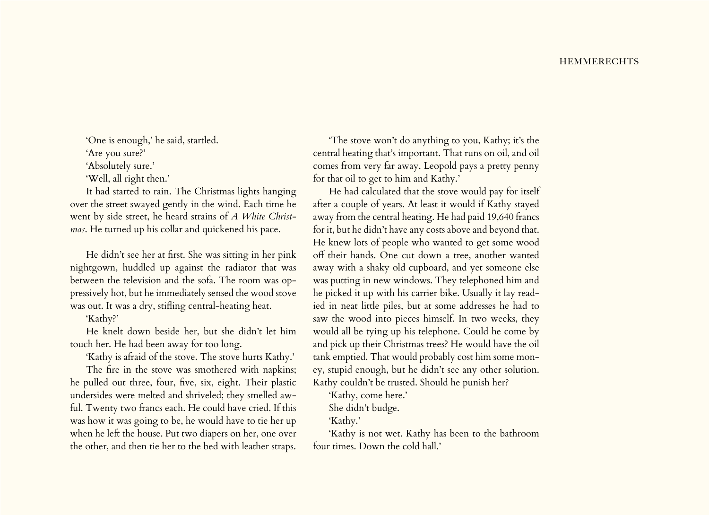'One is enough,' he said, startled.

'Are you sure?'

'Absolutely sure.'

'Well, all right then.'

It had started to rain. The Christmas lights hanging over the street swayed gently in the wind. Each time he went by side street, he heard strains of *A White Christmas*. He turned up his collar and quickened his pace.

He didn't see her at first. She was sitting in her pink nightgown, huddled up against the radiator that was between the television and the sofa. The room was oppressively hot, but he immediately sensed the wood stove was out. It was a dry, stifling central-heating heat.

'Kathy?'

He knelt down beside her, but she didn't let him touch her. He had been away for too long.

'Kathy is afraid of the stove. The stove hurts Kathy.'

The fire in the stove was smothered with napkins; he pulled out three, four, five, six, eight. Their plastic undersides were melted and shriveled; they smelled awful. Twenty two francs each. He could have cried. If this was how it was going to be, he would have to tie her up when he left the house. Put two diapers on her, one over the other, and then tie her to the bed with leather straps.

'The stove won't do anything to you, Kathy; it's the central heating that's important. That runs on oil, and oil comes from very far away. Leopold pays a pretty penny for that oil to get to him and Kathy.'

He had calculated that the stove would pay for itself after a couple of years. At least it would if Kathy stayed away from the central heating. He had paid 19,640 francs for it, but he didn't have any costs above and beyond that. He knew lots of people who wanted to get some wood off their hands. One cut down a tree, another wanted away with a shaky old cupboard, and yet someone else was putting in new windows. They telephoned him and he picked it up with his carrier bike. Usually it lay readied in neat little piles, but at some addresses he had to saw the wood into pieces himself. In two weeks, they would all be tying up his telephone. Could he come by and pick up their Christmas trees? He would have the oil tank emptied. That would probably cost him some money, stupid enough, but he didn't see any other solution. Kathy couldn't be trusted. Should he punish her?

'Kathy, come here.'

She didn't budge.

'Kathy.'

'Kathy is not wet. Kathy has been to the bathroom four times. Down the cold hall.'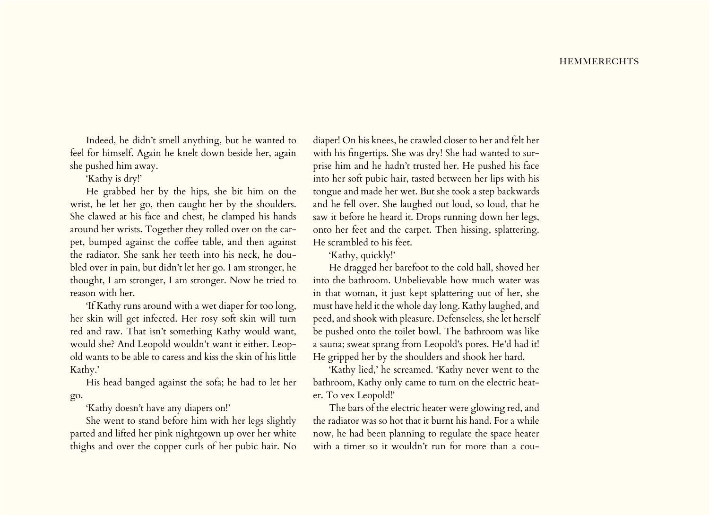Indeed, he didn't smell anything, but he wanted to feel for himself. Again he knelt down beside her, again she pushed him away.

'Kathy is dry!'

He grabbed her by the hips, she bit him on the wrist, he let her go, then caught her by the shoulders. She clawed at his face and chest, he clamped his hands around her wrists. Together they rolled over on the carpet, bumped against the coffee table, and then against the radiator. She sank her teeth into his neck, he doubled over in pain, but didn't let her go. I am stronger, he thought, I am stronger, I am stronger. Now he tried to reason with her.

'If Kathy runs around with a wet diaper for too long, her skin will get infected. Her rosy soft skin will turn red and raw. That isn't something Kathy would want, would she? And Leopold wouldn't want it either. Leopold wants to be able to caress and kiss the skin of his little Kathy.'

His head banged against the sofa; he had to let her go.

'Kathy doesn't have any diapers on!'

She went to stand before him with her legs slightly parted and lifted her pink nightgown up over her white thighs and over the copper curls of her pubic hair. No

diaper! On his knees, he crawled closer to her and felt her with his fingertips. She was dry! She had wanted to surprise him and he hadn't trusted her. He pushed his face into her soft pubic hair, tasted between her lips with his tongue and made her wet. But she took a step backwards and he fell over. She laughed out loud, so loud, that he saw it before he heard it. Drops running down her legs, onto her feet and the carpet. Then hissing, splattering. He scrambled to his feet.

'Kathy, quickly!'

He dragged her barefoot to the cold hall, shoved her into the bathroom. Unbelievable how much water was in that woman, it just kept splattering out of her, she must have held it the whole day long. Kathy laughed, and peed, and shook with pleasure. Defenseless, she let herself be pushed onto the toilet bowl. The bathroom was like a sauna; sweat sprang from Leopold's pores. He'd had it! He gripped her by the shoulders and shook her hard.

'Kathy lied,' he screamed. 'Kathy never went to the bathroom, Kathy only came to turn on the electric heater. To vex Leopold!'

The bars of the electric heater were glowing red, and the radiator was so hot that it burnt his hand. For a while now, he had been planning to regulate the space heater with a timer so it wouldn't run for more than a cou-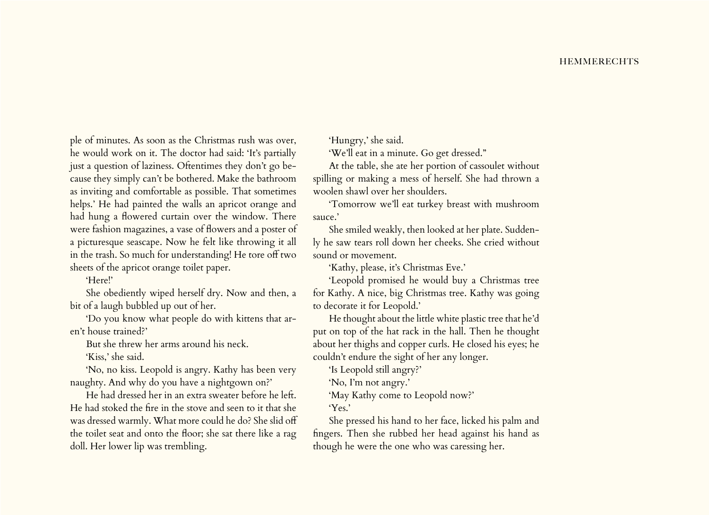ple of minutes. As soon as the Christmas rush was over, he would work on it. The doctor had said: 'It's partially just a question of laziness. Oftentimes they don't go because they simply can't be bothered. Make the bathroom as inviting and comfortable as possible. That sometimes helps.' He had painted the walls an apricot orange and had hung a flowered curtain over the window. There were fashion magazines, a vase of flowers and a poster of a picturesque seascape. Now he felt like throwing it all in the trash. So much for understanding! He tore off two sheets of the apricot orange toilet paper.

## 'Here!'

She obediently wiped herself dry. Now and then, a bit of a laugh bubbled up out of her.

'Do you know what people do with kittens that aren't house trained?'

But she threw her arms around his neck.

'Kiss,' she said.

'No, no kiss. Leopold is angry. Kathy has been very naughty. And why do you have a nightgown on?'

He had dressed her in an extra sweater before he left. He had stoked the fire in the stove and seen to it that she was dressed warmly. What more could he do? She slid off the toilet seat and onto the floor; she sat there like a rag doll. Her lower lip was trembling.

'Hungry,' she said.

'We'll eat in a minute. Go get dressed."

At the table, she ate her portion of cassoulet without spilling or making a mess of herself. She had thrown a woolen shawl over her shoulders.

'Tomorrow we'll eat turkey breast with mushroom sauce.'

She smiled weakly, then looked at her plate. Suddenly he saw tears roll down her cheeks. She cried without sound or movement.

'Kathy, please, it's Christmas Eve.'

'Leopold promised he would buy a Christmas tree for Kathy. A nice, big Christmas tree. Kathy was going to decorate it for Leopold.'

He thought about the little white plastic tree that he'd put on top of the hat rack in the hall. Then he thought about her thighs and copper curls. He closed his eyes; he couldn't endure the sight of her any longer.

'Is Leopold still angry?'

'No, I'm not angry.'

'May Kathy come to Leopold now?'

'Yes.'

She pressed his hand to her face, licked his palm and fingers. Then she rubbed her head against his hand as though he were the one who was caressing her.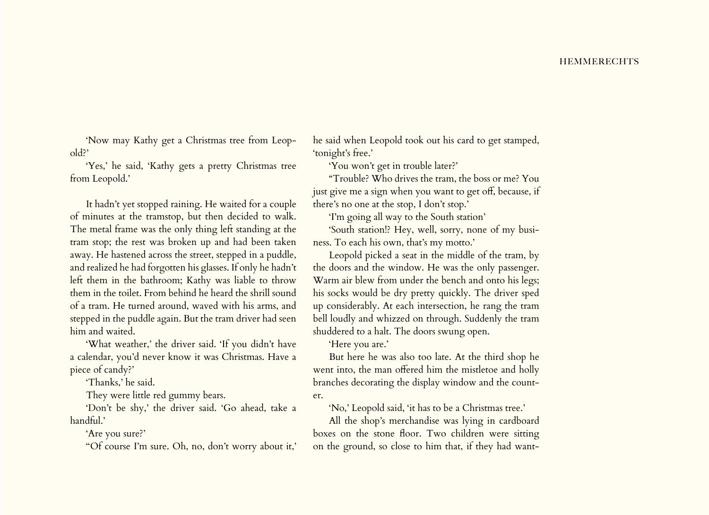'Now may Kathy get a Christmas tree from Leopold?'

'Yes,' he said, 'Kathy gets a pretty Christmas tree from Leopold.'

It hadn't yet stopped raining. He waited for a couple of minutes at the tramstop, but then decided to walk. The metal frame was the only thing left standing at the tram stop; the rest was broken up and had been taken away. He hastened across the street, stepped in a puddle, and realized he had forgotten his glasses. If only he hadn't left them in the bathroom; Kathy was liable to throw them in the toilet. From behind he heard the shrill sound of a tram. He turned around, waved with his arms, and stepped in the puddle again. But the tram driver had seen him and waited.

'What weather,' the driver said. 'If you didn't have a calendar, you'd never know it was Christmas. Have a piece of candy?'

'Thanks,' he said.

They were little red gummy bears.

'Don't be shy,' the driver said. 'Go ahead, take a handful.'

'Are you sure?'

''Of course I'm sure. Oh, no, don't worry about it,'

he said when Leopold took out his card to get stamped, 'tonight's free.'

'You won't get in trouble later?'

"Trouble? Who drives the tram, the boss or me? You just give me a sign when you want to get off, because, if there's no one at the stop, I don't stop.'

'I'm going all way to the South station'

'South station!? Hey, well, sorry, none of my business. To each his own, that's my motto.'

Leopold picked a seat in the middle of the tram, by the doors and the window. He was the only passenger. Warm air blew from under the bench and onto his legs; his socks would be dry pretty quickly. The driver sped up considerably. At each intersection, he rang the tram bell loudly and whizzed on through. Suddenly the tram shuddered to a halt. The doors swung open.

'Here you are.'

But here he was also too late. At the third shop he went into, the man offered him the mistletoe and holly branches decorating the display window and the counter.

'No,' Leopold said, 'it has to be a Christmas tree.'

All the shop's merchandise was lying in cardboard boxes on the stone floor. Two children were sitting on the ground, so close to him that, if they had want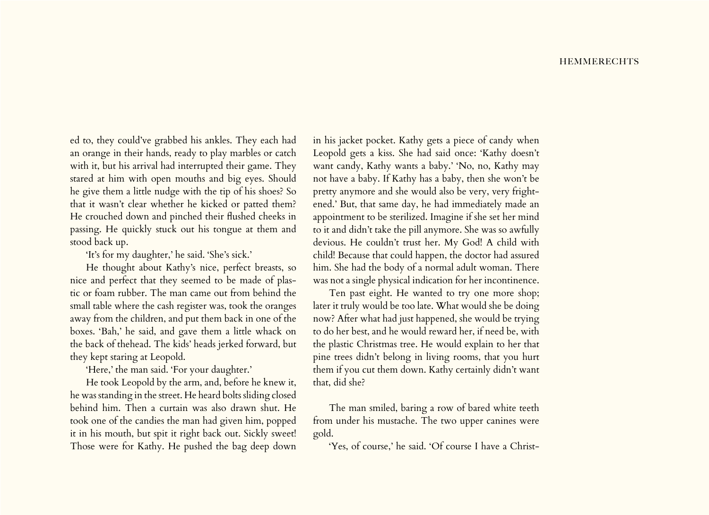ed to, they could've grabbed his ankles. They each had an orange in their hands, ready to play marbles or catch with it, but his arrival had interrupted their game. They stared at him with open mouths and big eyes. Should he give them a little nudge with the tip of his shoes? So that it wasn't clear whether he kicked or patted them? He crouched down and pinched their flushed cheeks in passing. He quickly stuck out his tongue at them and stood back up.

'It's for my daughter,' he said. 'She's sick.'

He thought about Kathy's nice, perfect breasts, so nice and perfect that they seemed to be made of plastic or foam rubber. The man came out from behind the small table where the cash register was, took the oranges away from the children, and put them back in one of the boxes. 'Bah,' he said, and gave them a little whack on the back of thehead. The kids' heads jerked forward, but they kept staring at Leopold.

'Here,' the man said. 'For your daughter.'

He took Leopold by the arm, and, before he knew it, he was standing in the street. He heard bolts sliding closed behind him. Then a curtain was also drawn shut. He took one of the candies the man had given him, popped it in his mouth, but spit it right back out. Sickly sweet! Those were for Kathy. He pushed the bag deep down

in his jacket pocket. Kathy gets a piece of candy when Leopold gets a kiss. She had said once: 'Kathy doesn't want candy, Kathy wants a baby.' 'No, no, Kathy may not have a baby. If Kathy has a baby, then she won't be pretty anymore and she would also be very, very frightened.' But, that same day, he had immediately made an appointment to be sterilized. Imagine if she set her mind to it and didn't take the pill anymore. She was so awfully devious. He couldn't trust her. My God! A child with child! Because that could happen, the doctor had assured him. She had the body of a normal adult woman. There was not a single physical indication for her incontinence.

Ten past eight. He wanted to try one more shop; later it truly would be too late. What would she be doing now? After what had just happened, she would be trying to do her best, and he would reward her, if need be, with the plastic Christmas tree. He would explain to her that pine trees didn't belong in living rooms, that you hurt them if you cut them down. Kathy certainly didn't want that, did she?

The man smiled, baring a row of bared white teeth from under his mustache. The two upper canines were gold.

'Yes, of course,' he said. 'Of course I have a Christ-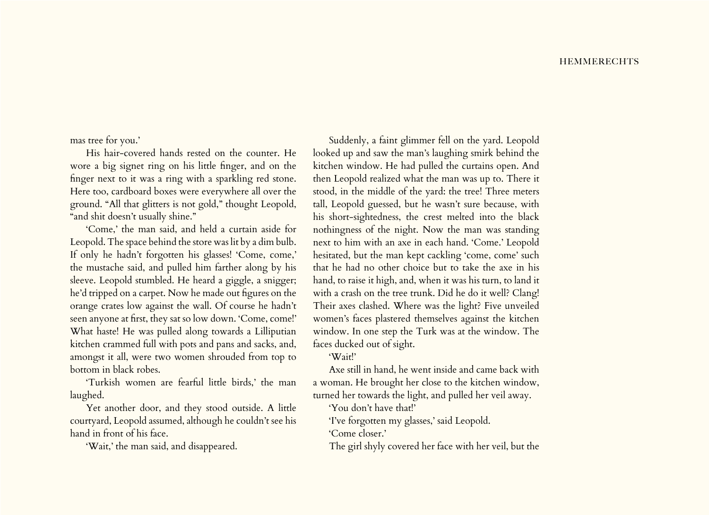mas tree for you.'

His hair-covered hands rested on the counter. He wore a big signet ring on his little finger, and on the finger next to it was a ring with a sparkling red stone. Here too, cardboard boxes were everywhere all over the ground. "All that glitters is not gold," thought Leopold, "and shit doesn't usually shine."

'Come,' the man said, and held a curtain aside for Leopold. The space behind the store was lit by a dim bulb. If only he hadn't forgotten his glasses! 'Come, come,' the mustache said, and pulled him farther along by his sleeve. Leopold stumbled. He heard a giggle, a snigger; he'd tripped on a carpet. Now he made out figures on the orange crates low against the wall. Of course he hadn't seen anyone at first, they sat so low down. 'Come, come!' What haste! He was pulled along towards a Lilliputian kitchen crammed full with pots and pans and sacks, and, amongst it all, were two women shrouded from top to bottom in black robes.

'Turkish women are fearful little birds,' the man laughed.

Yet another door, and they stood outside. A little courtyard, Leopold assumed, although he couldn't see his hand in front of his face.

'Wait,' the man said, and disappeared.

Suddenly, a faint glimmer fell on the yard. Leopold looked up and saw the man's laughing smirk behind the kitchen window. He had pulled the curtains open. And then Leopold realized what the man was up to. There it stood, in the middle of the yard: the tree! Three meters tall, Leopold guessed, but he wasn't sure because, with his short-sightedness, the crest melted into the black nothingness of the night. Now the man was standing next to him with an axe in each hand. 'Come.' Leopold hesitated, but the man kept cackling 'come, come' such that he had no other choice but to take the axe in his hand, to raise it high, and, when it was his turn, to land it with a crash on the tree trunk. Did he do it well? Clang! Their axes clashed. Where was the light? Five unveiled women's faces plastered themselves against the kitchen window. In one step the Turk was at the window. The faces ducked out of sight.

'Wait!'

Axe still in hand, he went inside and came back with a woman. He brought her close to the kitchen window, turned her towards the light, and pulled her veil away.

'You don't have that!'

'I've forgotten my glasses,' said Leopold.

'Come closer.'

The girl shyly covered her face with her veil, but the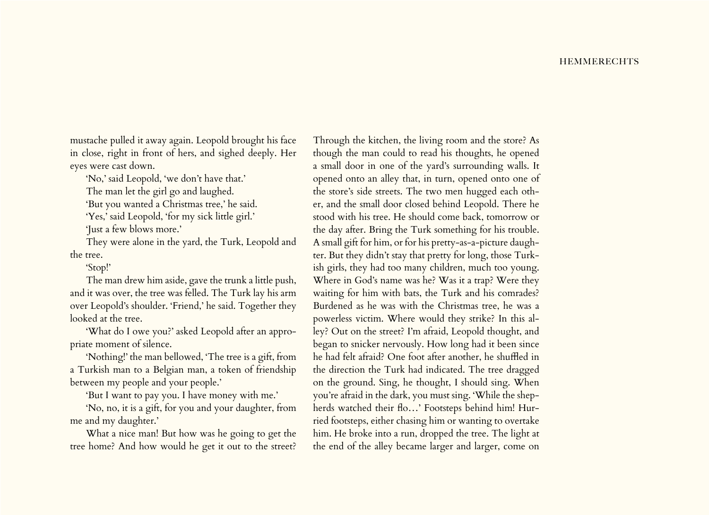mustache pulled it away again. Leopold brought his face in close, right in front of hers, and sighed deeply. Her eyes were cast down.

'No,' said Leopold, 'we don't have that.'

The man let the girl go and laughed.

'But you wanted a Christmas tree,' he said.

'Yes,' said Leopold, 'for my sick little girl.'

'Just a few blows more.'

They were alone in the yard, the Turk, Leopold and the tree.

'Stop!'

The man drew him aside, gave the trunk a little push, and it was over, the tree was felled. The Turk lay his arm over Leopold's shoulder. 'Friend,' he said. Together they looked at the tree.

'What do I owe you?' asked Leopold after an appropriate moment of silence.

'Nothing!' the man bellowed, 'The tree is a gift, from a Turkish man to a Belgian man, a token of friendship between my people and your people.'

'But I want to pay you. I have money with me.'

'No, no, it is a gift, for you and your daughter, from me and my daughter.'

What a nice man! But how was he going to get the tree home? And how would he get it out to the street?

Through the kitchen, the living room and the store? As though the man could to read his thoughts, he opened a small door in one of the yard's surrounding walls. It opened onto an alley that, in turn, opened onto one of the store's side streets. The two men hugged each other, and the small door closed behind Leopold. There he stood with his tree. He should come back, tomorrow or the day after. Bring the Turk something for his trouble. A small gift for him, or for his pretty-as-a-picture daughter. But they didn't stay that pretty for long, those Turkish girls, they had too many children, much too young. Where in God's name was he? Was it a trap? Were they waiting for him with bats, the Turk and his comrades? Burdened as he was with the Christmas tree, he was a powerless victim. Where would they strike? In this alley? Out on the street? I'm afraid, Leopold thought, and began to snicker nervously. How long had it been since he had felt afraid? One foot after another, he shuffled in the direction the Turk had indicated. The tree dragged on the ground. Sing, he thought, I should sing. When you're afraid in the dark, you must sing. 'While the shepherds watched their flo…' Footsteps behind him! Hurried footsteps, either chasing him or wanting to overtake him. He broke into a run, dropped the tree. The light at the end of the alley became larger and larger, come on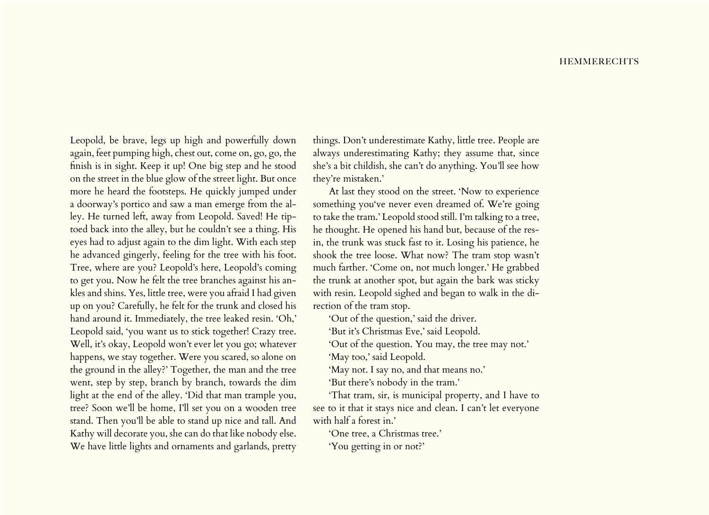Leopold, be brave, legs up high and powerfully down again, feet pumping high, chest out, come on, go, go, the finish is in sight. Keep it up! One big step and he stood on the street in the blue glow of the street light. But once more he heard the footsteps. He quickly jumped under a doorway's portico and saw a man emerge from the alley. He turned left, away from Leopold. Saved! He tiptoed back into the alley, but he couldn't see a thing. His eyes had to adjust again to the dim light. With each step he advanced gingerly, feeling for the tree with his foot. Tree, where are you? Leopold's here, Leopold's coming to get you. Now he felt the tree branches against his ankles and shins. Yes, little tree, were you afraid I had given up on you? Carefully, he felt for the trunk and closed his hand around it. Immediately, the tree leaked resin. 'Oh,' Leopold said, 'you want us to stick together! Crazy tree. Well, it's okay, Leopold won't ever let you go; whatever happens, we stay together. Were you scared, so alone on the ground in the alley?' Together, the man and the tree went, step by step, branch by branch, towards the dim light at the end of the alley. 'Did that man trample you, tree? Soon we'll be home, I'll set you on a wooden tree stand. Then you'll be able to stand up nice and tall. And Kathy will decorate you, she can do that like nobody else. We have little lights and ornaments and garlands, pretty

things. Don't underestimate Kathy, little tree. People are always underestimating Kathy; they assume that, since she's a bit childish, she can't do anything. You'll see how they're mistaken.'

At last they stood on the street. 'Now to experience something you've never even dreamed of. We're going to take the tram.' Leopold stood still. I'm talking to a tree, he thought. He opened his hand but, because of the resin, the trunk was stuck fast to it. Losing his patience, he shook the tree loose. What now? The tram stop wasn't much farther. 'Come on, not much longer.' He grabbed the trunk at another spot, but again the bark was sticky with resin. Leopold sighed and began to walk in the direction of the tram stop.

'Out of the question,' said the driver.

'But it's Christmas Eve,' said Leopold.

'Out of the question. You may, the tree may not.'

'May too,' said Leopold.

'May not. I say no, and that means no.'

'But there's nobody in the tram.'

'That tram, sir, is municipal property, and I have to see to it that it stays nice and clean. I can't let everyone with half a forest in.'

'One tree, a Christmas tree.' 'You getting in or not?'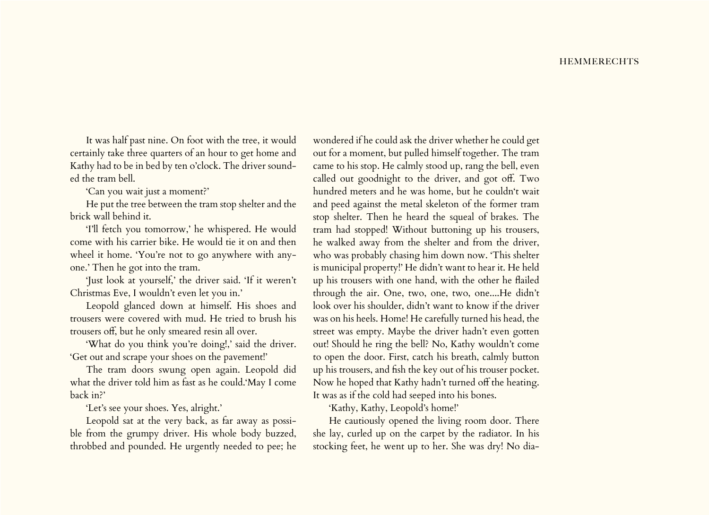It was half past nine. On foot with the tree, it would certainly take three quarters of an hour to get home and Kathy had to be in bed by ten o'clock. The driver sounded the tram bell.

'Can you wait just a moment?'

He put the tree between the tram stop shelter and the brick wall behind it.

'I'll fetch you tomorrow,' he whispered. He would come with his carrier bike. He would tie it on and then wheel it home. 'You're not to go anywhere with anyone.' Then he got into the tram.

'Just look at yourself,' the driver said. 'If it weren't Christmas Eve, I wouldn't even let you in.'

Leopold glanced down at himself. His shoes and trousers were covered with mud. He tried to brush his trousers off, but he only smeared resin all over.

'What do you think you're doing!,' said the driver. 'Get out and scrape your shoes on the pavement!'

The tram doors swung open again. Leopold did what the driver told him as fast as he could.'May I come back in?'

'Let's see your shoes. Yes, alright.'

Leopold sat at the very back, as far away as possible from the grumpy driver. His whole body buzzed, throbbed and pounded. He urgently needed to pee; he

wondered if he could ask the driver whether he could get out for a moment, but pulled himself together. The tram came to his stop. He calmly stood up, rang the bell, even called out goodnight to the driver, and got off. Two hundred meters and he was home, but he couldn't wait and peed against the metal skeleton of the former tram stop shelter. Then he heard the squeal of brakes. The tram had stopped! Without buttoning up his trousers, he walked away from the shelter and from the driver, who was probably chasing him down now. 'This shelter is municipal property!' He didn't want to hear it. He held up his trousers with one hand, with the other he flailed through the air. One, two, one, two, one....He didn't look over his shoulder, didn't want to know if the driver was on his heels. Home! He carefully turned his head, the street was empty. Maybe the driver hadn't even gotten out! Should he ring the bell? No, Kathy wouldn't come to open the door. First, catch his breath, calmly button up his trousers, and fish the key out of his trouser pocket. Now he hoped that Kathy hadn't turned off the heating. It was as if the cold had seeped into his bones.

'Kathy, Kathy, Leopold's home!'

He cautiously opened the living room door. There she lay, curled up on the carpet by the radiator. In his stocking feet, he went up to her. She was dry! No dia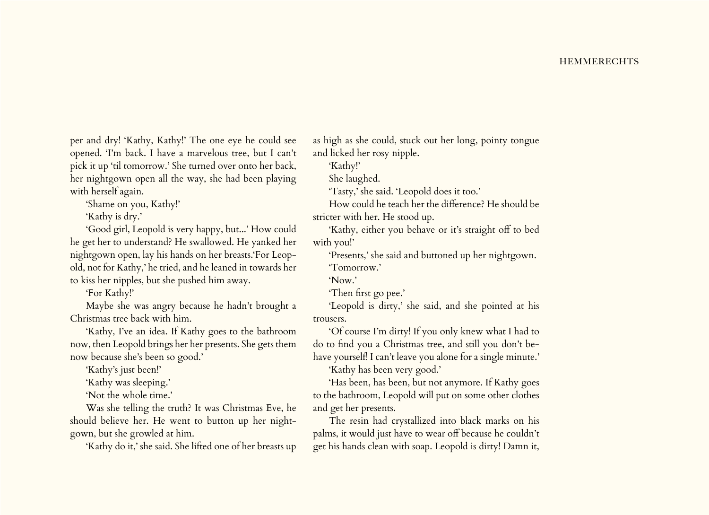per and dry! 'Kathy, Kathy!' The one eye he could see opened. 'I'm back. I have a marvelous tree, but I can't pick it up 'til tomorrow.' She turned over onto her back, her nightgown open all the way, she had been playing with herself again.

'Shame on you, Kathy!'

'Kathy is dry.'

'Good girl, Leopold is very happy, but...' How could he get her to understand? He swallowed. He yanked her nightgown open, lay his hands on her breasts.'For Leopold, not for Kathy,' he tried, and he leaned in towards her to kiss her nipples, but she pushed him away.

'For Kathy!'

Maybe she was angry because he hadn't brought a Christmas tree back with him.

'Kathy, I've an idea. If Kathy goes to the bathroom now, then Leopold brings her her presents. She gets them now because she's been so good.'

'Kathy's just been!'

'Kathy was sleeping.'

'Not the whole time.'

Was she telling the truth? It was Christmas Eve, he should believe her. He went to button up her nightgown, but she growled at him.

'Kathy do it,' she said. She lifted one of her breasts up

as high as she could, stuck out her long, pointy tongue and licked her rosy nipple.

'Kathy!'

She laughed.

'Tasty,' she said. 'Leopold does it too.'

How could he teach her the difference? He should be stricter with her. He stood up.

'Kathy, either you behave or it's straight off to bed with you!'

'Presents,' she said and buttoned up her nightgown. 'Tomorrow.'

'Now.'

'Then first go pee.'

'Leopold is dirty,' she said, and she pointed at his trousers.

'Of course I'm dirty! If you only knew what I had to do to find you a Christmas tree, and still you don't behave yourself! I can't leave you alone for a single minute.'

'Kathy has been very good.'

'Has been, has been, but not anymore. If Kathy goes to the bathroom, Leopold will put on some other clothes and get her presents.

The resin had crystallized into black marks on his palms, it would just have to wear off because he couldn't get his hands clean with soap. Leopold is dirty! Damn it,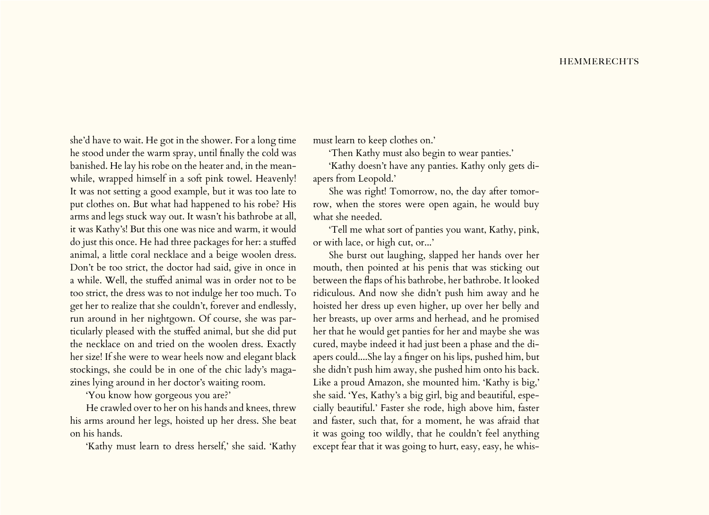she'd have to wait. He got in the shower. For a long time he stood under the warm spray, until finally the cold was banished. He lay his robe on the heater and, in the meanwhile, wrapped himself in a soft pink towel. Heavenly! It was not setting a good example, but it was too late to put clothes on. But what had happened to his robe? His arms and legs stuck way out. It wasn't his bathrobe at all, it was Kathy's! But this one was nice and warm, it would do just this once. He had three packages for her: a stuffed animal, a little coral necklace and a beige woolen dress. Don't be too strict, the doctor had said, give in once in a while. Well, the stuffed animal was in order not to be too strict, the dress was to not indulge her too much. To get her to realize that she couldn't, forever and endlessly, run around in her nightgown. Of course, she was particularly pleased with the stuffed animal, but she did put the necklace on and tried on the woolen dress. Exactly her size! If she were to wear heels now and elegant black stockings, she could be in one of the chic lady's magazines lying around in her doctor's waiting room.

'You know how gorgeous you are?'

He crawled over to her on his hands and knees, threw his arms around her legs, hoisted up her dress. She beat on his hands.

'Kathy must learn to dress herself,' she said. 'Kathy

must learn to keep clothes on.'

'Then Kathy must also begin to wear panties.'

'Kathy doesn't have any panties. Kathy only gets diapers from Leopold.'

She was right! Tomorrow, no, the day after tomorrow, when the stores were open again, he would buy what she needed.

'Tell me what sort of panties you want, Kathy, pink, or with lace, or high cut, or...'

She burst out laughing, slapped her hands over her mouth, then pointed at his penis that was sticking out between the flaps of his bathrobe, her bathrobe. It looked ridiculous. And now she didn't push him away and he hoisted her dress up even higher, up over her belly and her breasts, up over arms and herhead, and he promised her that he would get panties for her and maybe she was cured, maybe indeed it had just been a phase and the diapers could....She lay a finger on his lips, pushed him, but she didn't push him away, she pushed him onto his back. Like a proud Amazon, she mounted him. 'Kathy is big,' she said. 'Yes, Kathy's a big girl, big and beautiful, especially beautiful.' Faster she rode, high above him, faster and faster, such that, for a moment, he was afraid that it was going too wildly, that he couldn't feel anything except fear that it was going to hurt, easy, easy, he whis-